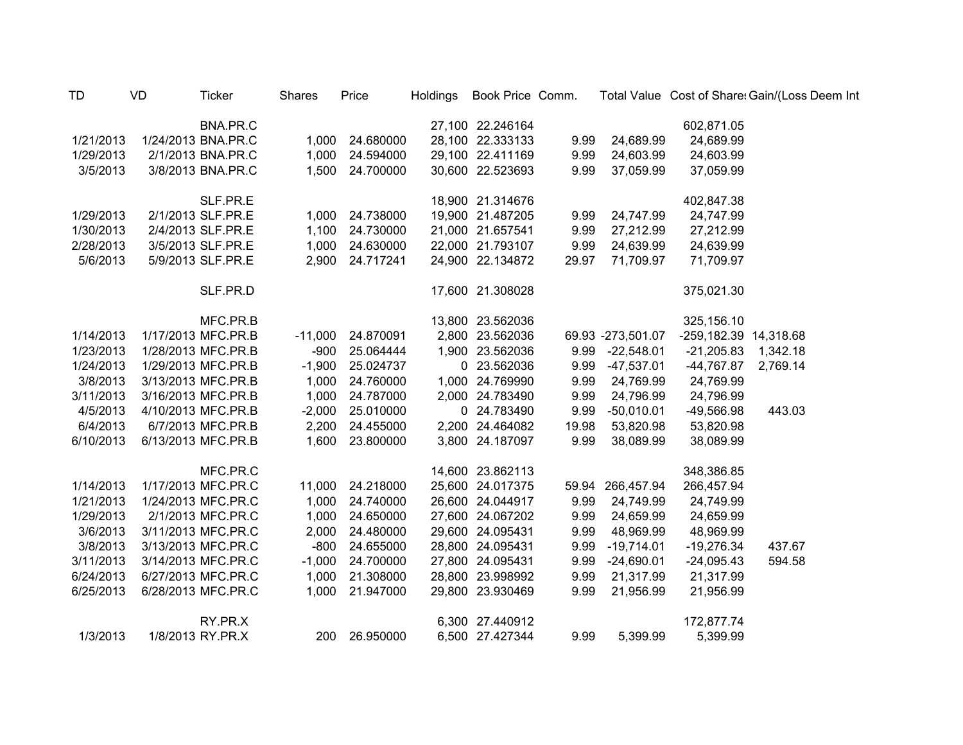| <b>TD</b> | VD | <b>Ticker</b>      | <b>Shares</b> | Price     | <b>Holdings</b> | Book Price Comm. |       |                   |                       | Total Value Cost of Share: Gain/(Loss Deem Int |
|-----------|----|--------------------|---------------|-----------|-----------------|------------------|-------|-------------------|-----------------------|------------------------------------------------|
|           |    | BNA.PR.C           |               |           |                 | 27,100 22.246164 |       |                   | 602,871.05            |                                                |
| 1/21/2013 |    | 1/24/2013 BNA.PR.C | 1,000         | 24.680000 |                 | 28,100 22.333133 | 9.99  | 24,689.99         | 24,689.99             |                                                |
| 1/29/2013 |    | 2/1/2013 BNA.PR.C  | 1,000         | 24.594000 |                 | 29,100 22.411169 | 9.99  | 24,603.99         | 24,603.99             |                                                |
| 3/5/2013  |    | 3/8/2013 BNA.PR.C  | 1,500         | 24.700000 |                 | 30,600 22.523693 | 9.99  | 37,059.99         | 37,059.99             |                                                |
|           |    | SLF.PR.E           |               |           |                 | 18,900 21.314676 |       |                   | 402,847.38            |                                                |
| 1/29/2013 |    | 2/1/2013 SLF.PR.E  | 1,000         | 24.738000 |                 | 19,900 21.487205 | 9.99  | 24,747.99         | 24,747.99             |                                                |
| 1/30/2013 |    | 2/4/2013 SLF.PR.E  | 1,100         | 24.730000 |                 | 21,000 21.657541 | 9.99  | 27,212.99         | 27,212.99             |                                                |
| 2/28/2013 |    | 3/5/2013 SLF.PR.E  | 1,000         | 24.630000 |                 | 22,000 21.793107 | 9.99  | 24,639.99         | 24,639.99             |                                                |
| 5/6/2013  |    | 5/9/2013 SLF.PR.E  | 2,900         | 24.717241 |                 | 24,900 22.134872 | 29.97 | 71,709.97         | 71,709.97             |                                                |
|           |    | SLF.PR.D           |               |           |                 | 17,600 21.308028 |       |                   | 375,021.30            |                                                |
|           |    | MFC.PR.B           |               |           |                 | 13,800 23.562036 |       |                   | 325,156.10            |                                                |
| 1/14/2013 |    | 1/17/2013 MFC.PR.B | $-11,000$     | 24.870091 |                 | 2,800 23.562036  |       | 69.93 -273,501.07 | -259,182.39 14,318.68 |                                                |
| 1/23/2013 |    | 1/28/2013 MFC.PR.B | $-900$        | 25.064444 |                 | 1,900 23.562036  | 9.99  | $-22,548.01$      | $-21,205.83$          | 1,342.18                                       |
| 1/24/2013 |    | 1/29/2013 MFC.PR.B | $-1,900$      | 25.024737 |                 | 0 23.562036      | 9.99  | $-47,537.01$      | -44,767.87            | 2,769.14                                       |
| 3/8/2013  |    | 3/13/2013 MFC.PR.B | 1,000         | 24.760000 |                 | 1,000 24.769990  | 9.99  | 24,769.99         | 24,769.99             |                                                |
| 3/11/2013 |    | 3/16/2013 MFC.PR.B | 1,000         | 24.787000 |                 | 2,000 24.783490  | 9.99  | 24,796.99         | 24,796.99             |                                                |
| 4/5/2013  |    | 4/10/2013 MFC.PR.B | $-2,000$      | 25.010000 |                 | 0 24.783490      | 9.99  | $-50,010.01$      | -49,566.98            | 443.03                                         |
| 6/4/2013  |    | 6/7/2013 MFC.PR.B  | 2,200         | 24.455000 |                 | 2,200 24.464082  | 19.98 | 53,820.98         | 53,820.98             |                                                |
| 6/10/2013 |    | 6/13/2013 MFC.PR.B | 1,600         | 23.800000 |                 | 3,800 24.187097  | 9.99  | 38,089.99         | 38,089.99             |                                                |
|           |    | MFC.PR.C           |               |           |                 | 14,600 23.862113 |       |                   | 348,386.85            |                                                |
| 1/14/2013 |    | 1/17/2013 MFC.PR.C | 11,000        | 24.218000 |                 | 25,600 24.017375 |       | 59.94 266,457.94  | 266,457.94            |                                                |
| 1/21/2013 |    | 1/24/2013 MFC.PR.C | 1,000         | 24.740000 |                 | 26,600 24.044917 | 9.99  | 24,749.99         | 24,749.99             |                                                |
| 1/29/2013 |    | 2/1/2013 MFC.PR.C  | 1,000         | 24.650000 |                 | 27,600 24.067202 | 9.99  | 24,659.99         | 24,659.99             |                                                |
| 3/6/2013  |    | 3/11/2013 MFC.PR.C | 2,000         | 24.480000 |                 | 29,600 24.095431 | 9.99  | 48,969.99         | 48,969.99             |                                                |
| 3/8/2013  |    | 3/13/2013 MFC.PR.C | $-800$        | 24.655000 |                 | 28,800 24.095431 | 9.99  | $-19,714.01$      | $-19,276.34$          | 437.67                                         |
| 3/11/2013 |    | 3/14/2013 MFC.PR.C | $-1,000$      | 24.700000 |                 | 27,800 24.095431 | 9.99  | $-24,690.01$      | $-24,095.43$          | 594.58                                         |
| 6/24/2013 |    | 6/27/2013 MFC.PR.C | 1,000         | 21.308000 |                 | 28,800 23.998992 | 9.99  | 21,317.99         | 21,317.99             |                                                |
| 6/25/2013 |    | 6/28/2013 MFC.PR.C | 1,000         | 21.947000 |                 | 29,800 23.930469 | 9.99  | 21,956.99         | 21,956.99             |                                                |
|           |    | RY.PR.X            |               |           |                 | 6,300 27.440912  |       |                   | 172,877.74            |                                                |
| 1/3/2013  |    | 1/8/2013 RY.PR.X   | 200           | 26.950000 |                 | 6,500 27.427344  | 9.99  | 5,399.99          | 5,399.99              |                                                |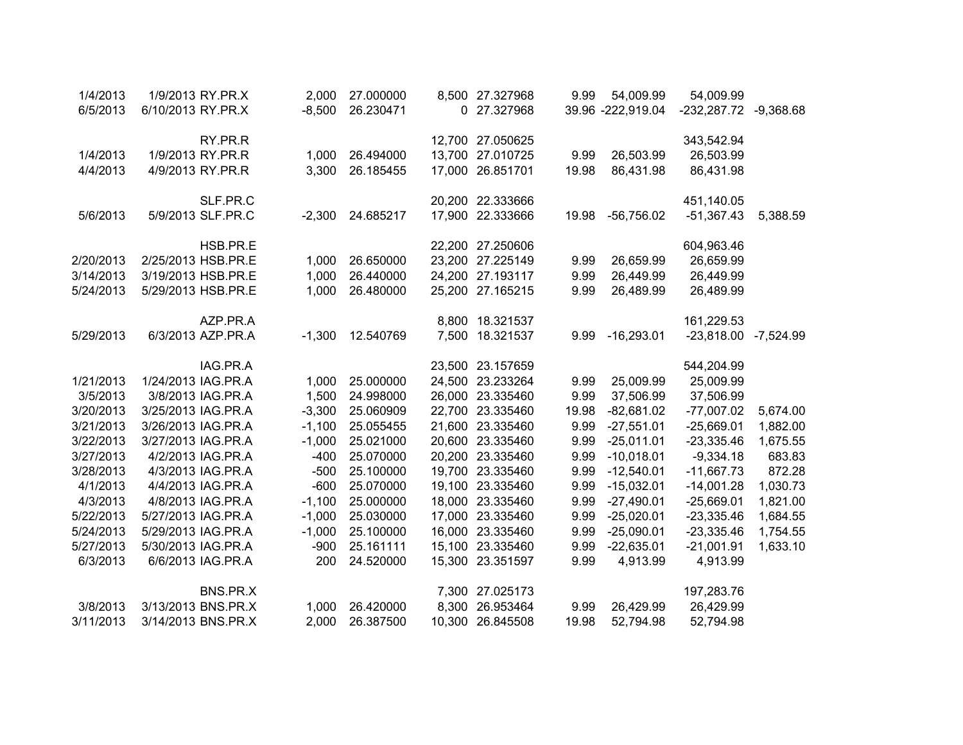| 1/4/2013  | 1/9/2013 RY.PR.X   | 2,000    | 27.000000 |       | 8,500 27.327968  | 9.99  | 54,009.99         | 54,009.99            |             |
|-----------|--------------------|----------|-----------|-------|------------------|-------|-------------------|----------------------|-------------|
| 6/5/2013  | 6/10/2013 RY.PR.X  | $-8,500$ | 26.230471 |       | 0 27.327968      |       | 39.96 -222,919.04 | -232,287.72          | $-9,368.68$ |
|           |                    |          |           |       |                  |       |                   |                      |             |
|           | RY.PR.R            |          |           |       | 12,700 27.050625 |       |                   | 343,542.94           |             |
| 1/4/2013  | 1/9/2013 RY.PR.R   | 1,000    | 26.494000 |       | 13,700 27.010725 | 9.99  | 26,503.99         | 26,503.99            |             |
| 4/4/2013  | 4/9/2013 RY.PR.R   | 3,300    | 26.185455 |       | 17,000 26.851701 | 19.98 | 86,431.98         | 86,431.98            |             |
|           |                    |          |           |       |                  |       |                   |                      |             |
|           | SLF.PR.C           |          |           |       | 20,200 22.333666 |       |                   | 451,140.05           |             |
| 5/6/2013  | 5/9/2013 SLF.PR.C  | $-2,300$ | 24.685217 |       | 17,900 22.333666 | 19.98 | $-56,756.02$      | $-51,367.43$         | 5,388.59    |
|           |                    |          |           |       |                  |       |                   |                      |             |
|           | HSB.PR.E           |          |           |       | 22,200 27.250606 |       |                   | 604,963.46           |             |
| 2/20/2013 | 2/25/2013 HSB.PR.E | 1,000    | 26.650000 |       | 23,200 27.225149 | 9.99  | 26,659.99         | 26,659.99            |             |
| 3/14/2013 | 3/19/2013 HSB.PR.E | 1,000    | 26.440000 |       | 24,200 27.193117 | 9.99  | 26,449.99         | 26,449.99            |             |
| 5/24/2013 | 5/29/2013 HSB.PR.E | 1,000    | 26.480000 |       | 25,200 27.165215 | 9.99  | 26,489.99         | 26,489.99            |             |
|           |                    |          |           |       |                  |       |                   |                      |             |
|           | AZP.PR.A           |          |           |       | 8,800 18.321537  |       |                   | 161,229.53           |             |
| 5/29/2013 | 6/3/2013 AZP.PR.A  | $-1,300$ | 12.540769 |       | 7,500 18.321537  | 9.99  | $-16,293.01$      | -23,818.00 -7,524.99 |             |
|           |                    |          |           |       |                  |       |                   |                      |             |
|           | IAG.PR.A           |          |           |       | 23,500 23.157659 |       |                   | 544,204.99           |             |
| 1/21/2013 | 1/24/2013 IAG.PR.A | 1,000    | 25.000000 |       | 24,500 23.233264 | 9.99  | 25,009.99         | 25,009.99            |             |
| 3/5/2013  | 3/8/2013 IAG.PR.A  | 1,500    | 24.998000 |       | 26,000 23.335460 | 9.99  | 37,506.99         | 37,506.99            |             |
| 3/20/2013 | 3/25/2013 IAG.PR.A | $-3,300$ | 25.060909 |       | 22,700 23.335460 | 19.98 | $-82,681.02$      | $-77,007.02$         | 5,674.00    |
| 3/21/2013 | 3/26/2013 IAG.PR.A | $-1,100$ | 25.055455 |       | 21,600 23.335460 | 9.99  | $-27,551.01$      | $-25,669.01$         | 1,882.00    |
| 3/22/2013 | 3/27/2013 IAG.PR.A | $-1,000$ | 25.021000 |       | 20,600 23.335460 | 9.99  | $-25,011.01$      | $-23,335.46$         | 1,675.55    |
| 3/27/2013 | 4/2/2013 IAG.PR.A  | $-400$   | 25.070000 |       | 20,200 23.335460 | 9.99  | $-10,018.01$      | $-9,334.18$          | 683.83      |
| 3/28/2013 | 4/3/2013 IAG.PR.A  | $-500$   | 25.100000 |       | 19,700 23.335460 | 9.99  | $-12,540.01$      | $-11,667.73$         | 872.28      |
| 4/1/2013  | 4/4/2013 IAG.PR.A  | $-600$   | 25.070000 |       | 19,100 23.335460 | 9.99  | $-15,032.01$      | $-14,001.28$         | 1,030.73    |
| 4/3/2013  | 4/8/2013 IAG.PR.A  | $-1,100$ | 25.000000 |       | 18,000 23.335460 | 9.99  | $-27,490.01$      | $-25,669.01$         | 1,821.00    |
| 5/22/2013 | 5/27/2013 IAG.PR.A | $-1,000$ | 25.030000 |       | 17,000 23.335460 | 9.99  | $-25,020.01$      | $-23,335.46$         | 1,684.55    |
| 5/24/2013 | 5/29/2013 IAG.PR.A | $-1,000$ | 25.100000 |       | 16,000 23.335460 | 9.99  | $-25,090.01$      | $-23,335.46$         | 1,754.55    |
| 5/27/2013 | 5/30/2013 IAG.PR.A | $-900$   | 25.161111 |       | 15,100 23.335460 | 9.99  | $-22,635.01$      | $-21,001.91$         | 1,633.10    |
| 6/3/2013  | 6/6/2013 IAG.PR.A  | 200      | 24.520000 |       | 15,300 23.351597 | 9.99  | 4,913.99          | 4,913.99             |             |
|           |                    |          |           |       |                  |       |                   |                      |             |
|           | BNS.PR.X           |          |           |       | 7,300 27.025173  |       |                   | 197,283.76           |             |
| 3/8/2013  | 3/13/2013 BNS.PR.X | 1,000    | 26.420000 | 8,300 | 26.953464        | 9.99  | 26,429.99         | 26,429.99            |             |
| 3/11/2013 | 3/14/2013 BNS.PR.X | 2,000    | 26.387500 |       | 10,300 26.845508 | 19.98 | 52,794.98         | 52,794.98            |             |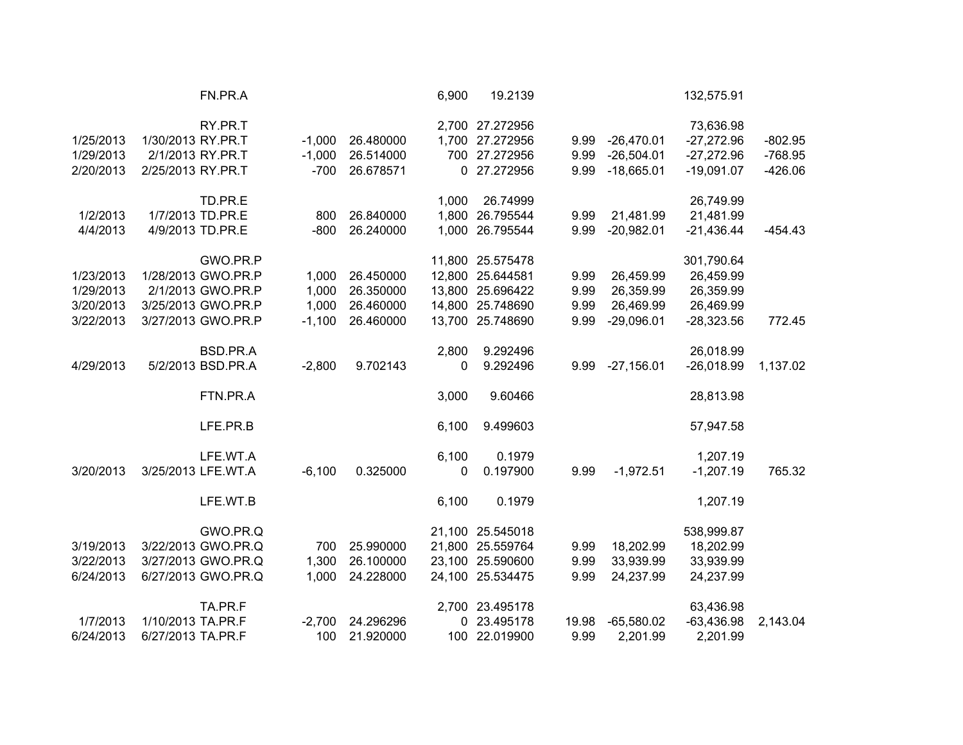|           | FN.PR.A            |          |           | 6,900 | 19.2139          |       |              | 132,575.91   |           |
|-----------|--------------------|----------|-----------|-------|------------------|-------|--------------|--------------|-----------|
|           | RY.PR.T            |          |           |       | 2,700 27.272956  |       |              | 73,636.98    |           |
| 1/25/2013 | 1/30/2013 RY.PR.T  | $-1,000$ | 26.480000 |       | 1,700 27.272956  | 9.99  | $-26,470.01$ | $-27,272.96$ | $-802.95$ |
| 1/29/2013 | 2/1/2013 RY.PR.T   | $-1,000$ | 26.514000 |       | 700 27.272956    | 9.99  | $-26,504.01$ | $-27,272.96$ | $-768.95$ |
| 2/20/2013 | 2/25/2013 RY.PR.T  | $-700$   | 26.678571 |       | 0 27.272956      | 9.99  | $-18,665.01$ | $-19,091.07$ | $-426.06$ |
|           | TD.PR.E            |          |           | 1,000 | 26.74999         |       |              | 26,749.99    |           |
| 1/2/2013  | 1/7/2013 TD.PR.E   | 800      | 26.840000 |       | 1,800 26.795544  | 9.99  | 21,481.99    | 21,481.99    |           |
| 4/4/2013  | 4/9/2013 TD.PR.E   | $-800$   | 26.240000 |       | 1,000 26.795544  | 9.99  | $-20,982.01$ | $-21,436.44$ | $-454.43$ |
|           | GWO.PR.P           |          |           |       | 11,800 25.575478 |       |              | 301,790.64   |           |
| 1/23/2013 | 1/28/2013 GWO.PR.P | 1,000    | 26.450000 |       | 12,800 25.644581 | 9.99  | 26,459.99    | 26,459.99    |           |
| 1/29/2013 | 2/1/2013 GWO.PR.P  | 1,000    | 26.350000 |       | 13,800 25.696422 | 9.99  | 26,359.99    | 26,359.99    |           |
| 3/20/2013 | 3/25/2013 GWO.PR.P | 1,000    | 26.460000 |       | 14,800 25.748690 | 9.99  | 26,469.99    | 26,469.99    |           |
| 3/22/2013 | 3/27/2013 GWO.PR.P | $-1,100$ | 26.460000 |       | 13,700 25.748690 | 9.99  | $-29,096.01$ | $-28,323.56$ | 772.45    |
|           | BSD.PR.A           |          |           | 2,800 | 9.292496         |       |              | 26,018.99    |           |
| 4/29/2013 | 5/2/2013 BSD.PR.A  | $-2,800$ | 9.702143  | 0     | 9.292496         | 9.99  | $-27,156.01$ | $-26,018.99$ | 1,137.02  |
|           | FTN.PR.A           |          |           | 3,000 | 9.60466          |       |              | 28,813.98    |           |
|           | LFE.PR.B           |          |           | 6,100 | 9.499603         |       |              | 57,947.58    |           |
|           | LFE.WT.A           |          |           | 6,100 | 0.1979           |       |              | 1,207.19     |           |
| 3/20/2013 | 3/25/2013 LFE.WT.A | $-6,100$ | 0.325000  | 0     | 0.197900         | 9.99  | $-1,972.51$  | $-1,207.19$  | 765.32    |
|           | LFE.WT.B           |          |           | 6,100 | 0.1979           |       |              | 1,207.19     |           |
|           | GWO.PR.Q           |          |           |       | 21,100 25.545018 |       |              | 538,999.87   |           |
| 3/19/2013 | 3/22/2013 GWO.PR.Q | 700      | 25.990000 |       | 21,800 25.559764 | 9.99  | 18,202.99    | 18,202.99    |           |
| 3/22/2013 | 3/27/2013 GWO.PR.Q | 1,300    | 26.100000 |       | 23,100 25.590600 | 9.99  | 33,939.99    | 33,939.99    |           |
| 6/24/2013 | 6/27/2013 GWO.PR.Q | 1,000    | 24.228000 |       | 24,100 25.534475 | 9.99  | 24,237.99    | 24,237.99    |           |
|           | TA.PR.F            |          |           |       | 2,700 23.495178  |       |              | 63,436.98    |           |
| 1/7/2013  | 1/10/2013 TA.PR.F  | $-2,700$ | 24.296296 |       | 0 23.495178      | 19.98 | $-65,580.02$ | $-63,436.98$ | 2,143.04  |
| 6/24/2013 | 6/27/2013 TA.PR.F  | 100      | 21.920000 |       | 100 22.019900    | 9.99  | 2,201.99     | 2,201.99     |           |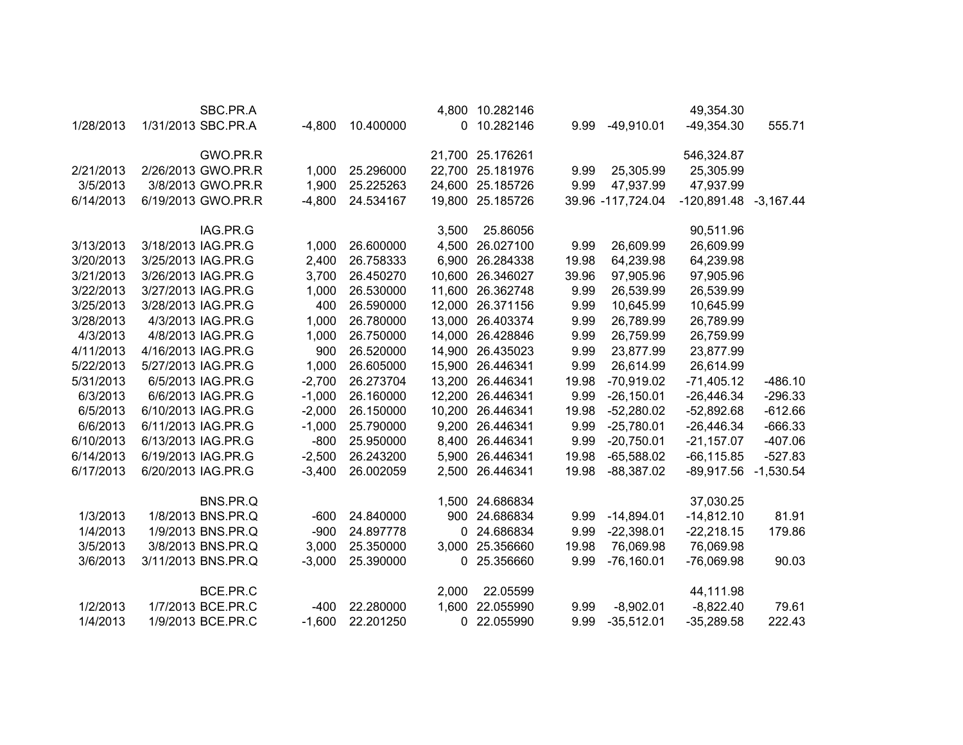|           |                    | SBC.PR.A |          |           | 4,800        | 10.282146        |       |                   | 49,354.30             |             |
|-----------|--------------------|----------|----------|-----------|--------------|------------------|-------|-------------------|-----------------------|-------------|
| 1/28/2013 | 1/31/2013 SBC.PR.A |          | $-4,800$ | 10.400000 | $\mathbf{0}$ | 10.282146        | 9.99  | $-49,910.01$      | $-49,354.30$          | 555.71      |
|           |                    | GWO.PR.R |          |           |              | 21,700 25.176261 |       |                   | 546,324.87            |             |
| 2/21/2013 | 2/26/2013 GWO.PR.R |          | 1,000    | 25.296000 | 22,700       | 25.181976        | 9.99  | 25,305.99         | 25,305.99             |             |
| 3/5/2013  | 3/8/2013 GWO.PR.R  |          | 1,900    | 25.225263 | 24,600       | 25.185726        | 9.99  | 47,937.99         | 47,937.99             |             |
| 6/14/2013 | 6/19/2013 GWO.PR.R |          | $-4,800$ | 24.534167 | 19,800       | 25.185726        |       | 39.96 -117,724.04 | -120,891.48 -3,167.44 |             |
|           |                    | IAG.PR.G |          |           | 3,500        | 25.86056         |       |                   | 90,511.96             |             |
| 3/13/2013 | 3/18/2013 IAG.PR.G |          | 1,000    | 26.600000 | 4,500        | 26.027100        | 9.99  | 26,609.99         | 26,609.99             |             |
| 3/20/2013 | 3/25/2013 IAG.PR.G |          | 2,400    | 26.758333 | 6,900        | 26.284338        | 19.98 | 64,239.98         | 64,239.98             |             |
| 3/21/2013 | 3/26/2013 IAG.PR.G |          | 3,700    | 26.450270 | 10,600       | 26.346027        | 39.96 | 97,905.96         | 97,905.96             |             |
| 3/22/2013 | 3/27/2013 IAG.PR.G |          | 1,000    | 26.530000 | 11,600       | 26.362748        | 9.99  | 26,539.99         | 26,539.99             |             |
| 3/25/2013 | 3/28/2013 IAG.PR.G |          | 400      | 26.590000 | 12,000       | 26.371156        | 9.99  | 10,645.99         | 10,645.99             |             |
| 3/28/2013 | 4/3/2013 IAG.PR.G  |          | 1,000    | 26.780000 | 13,000       | 26.403374        | 9.99  | 26,789.99         | 26,789.99             |             |
| 4/3/2013  | 4/8/2013 IAG.PR.G  |          | 1,000    | 26.750000 |              | 14,000 26.428846 | 9.99  | 26,759.99         | 26,759.99             |             |
| 4/11/2013 | 4/16/2013 IAG.PR.G |          | 900      | 26.520000 |              | 14,900 26.435023 | 9.99  | 23,877.99         | 23,877.99             |             |
| 5/22/2013 | 5/27/2013 IAG.PR.G |          | 1,000    | 26.605000 |              | 15,900 26.446341 | 9.99  | 26,614.99         | 26,614.99             |             |
| 5/31/2013 | 6/5/2013 IAG.PR.G  |          | $-2,700$ | 26.273704 |              | 13,200 26.446341 | 19.98 | $-70,919.02$      | $-71,405.12$          | $-486.10$   |
| 6/3/2013  | 6/6/2013 IAG.PR.G  |          | $-1,000$ | 26.160000 |              | 12,200 26.446341 | 9.99  | $-26,150.01$      | $-26,446.34$          | $-296.33$   |
| 6/5/2013  | 6/10/2013 IAG.PR.G |          | $-2,000$ | 26.150000 |              | 10,200 26.446341 | 19.98 | $-52,280.02$      | $-52,892.68$          | $-612.66$   |
| 6/6/2013  | 6/11/2013 IAG.PR.G |          | $-1,000$ | 25.790000 | 9,200        | 26.446341        | 9.99  | $-25,780.01$      | $-26,446.34$          | $-666.33$   |
| 6/10/2013 | 6/13/2013 IAG.PR.G |          | $-800$   | 25.950000 | 8,400        | 26.446341        | 9.99  | $-20,750.01$      | $-21,157.07$          | $-407.06$   |
| 6/14/2013 | 6/19/2013 IAG.PR.G |          | $-2,500$ | 26.243200 |              | 5,900 26.446341  | 19.98 | $-65,588.02$      | $-66, 115.85$         | $-527.83$   |
| 6/17/2013 | 6/20/2013 IAG.PR.G |          | $-3,400$ | 26.002059 | 2,500        | 26.446341        | 19.98 | $-88,387.02$      | $-89,917.56$          | $-1,530.54$ |
|           |                    | BNS.PR.Q |          |           |              | 1,500 24.686834  |       |                   | 37,030.25             |             |
| 1/3/2013  | 1/8/2013 BNS.PR.Q  |          | $-600$   | 24.840000 | 900          | 24.686834        | 9.99  | $-14,894.01$      | $-14,812.10$          | 81.91       |
| 1/4/2013  | 1/9/2013 BNS.PR.Q  |          | $-900$   | 24.897778 | 0            | 24.686834        | 9.99  | $-22,398.01$      | $-22,218.15$          | 179.86      |
| 3/5/2013  | 3/8/2013 BNS.PR.Q  |          | 3,000    | 25.350000 | 3,000        | 25.356660        | 19.98 | 76,069.98         | 76,069.98             |             |
| 3/6/2013  | 3/11/2013 BNS.PR.Q |          | $-3,000$ | 25.390000 | 0            | 25.356660        | 9.99  | $-76,160.01$      | $-76,069.98$          | 90.03       |
|           |                    | BCE.PR.C |          |           | 2,000        | 22.05599         |       |                   | 44,111.98             |             |
| 1/2/2013  | 1/7/2013 BCE.PR.C  |          | $-400$   | 22.280000 | 1,600        | 22.055990        | 9.99  | $-8,902.01$       | $-8,822.40$           | 79.61       |
| 1/4/2013  | 1/9/2013 BCE.PR.C  |          | $-1,600$ | 22.201250 | 0            | 22.055990        | 9.99  | $-35,512.01$      | $-35,289.58$          | 222.43      |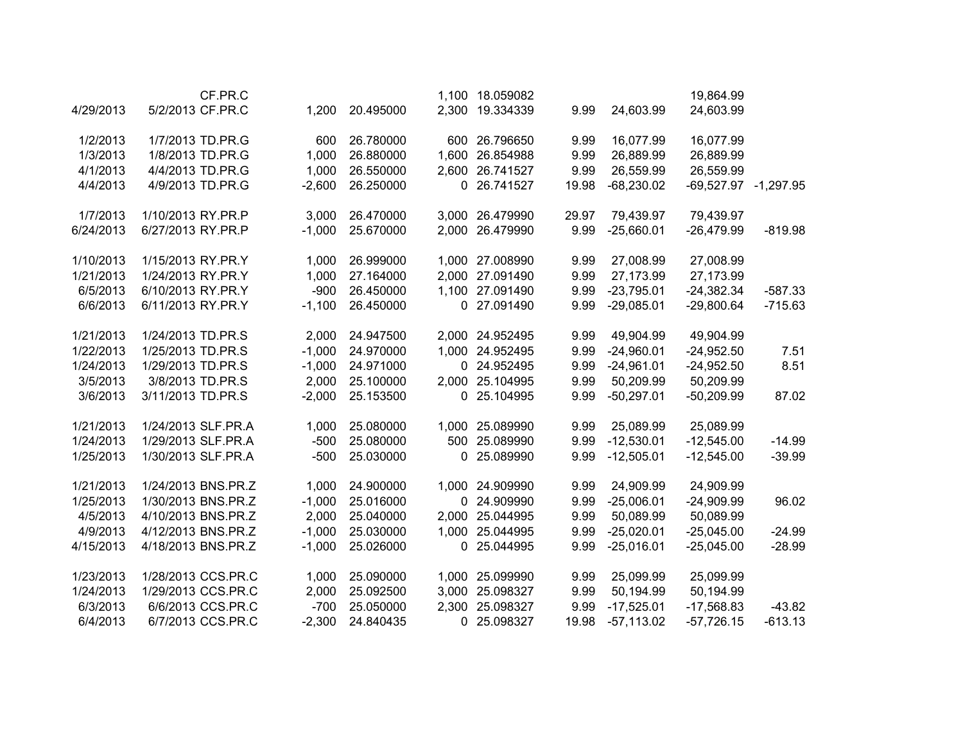|           | CF.PR.C            |          |           |       | 1,100 18.059082 |       |              | 19,864.99            |           |
|-----------|--------------------|----------|-----------|-------|-----------------|-------|--------------|----------------------|-----------|
| 4/29/2013 | 5/2/2013 CF.PR.C   | 1,200    | 20.495000 |       | 2,300 19.334339 | 9.99  | 24,603.99    | 24,603.99            |           |
| 1/2/2013  | 1/7/2013 TD.PR.G   | 600      | 26.780000 |       | 600 26.796650   | 9.99  | 16,077.99    | 16,077.99            |           |
| 1/3/2013  | 1/8/2013 TD.PR.G   | 1,000    | 26.880000 | 1,600 | 26.854988       | 9.99  | 26,889.99    | 26,889.99            |           |
| 4/1/2013  | 4/4/2013 TD.PR.G   | 1,000    | 26.550000 |       | 2,600 26.741527 | 9.99  | 26,559.99    | 26,559.99            |           |
| 4/4/2013  | 4/9/2013 TD.PR.G   | $-2,600$ | 26.250000 |       | 0 26.741527     | 19.98 | $-68,230.02$ | -69,527.97 -1,297.95 |           |
| 1/7/2013  | 1/10/2013 RY.PR.P  | 3,000    | 26.470000 |       | 3,000 26.479990 | 29.97 | 79,439.97    | 79,439.97            |           |
| 6/24/2013 | 6/27/2013 RY.PR.P  | $-1,000$ | 25.670000 | 2,000 | 26.479990       | 9.99  | $-25,660.01$ | $-26,479.99$         | $-819.98$ |
| 1/10/2013 | 1/15/2013 RY.PR.Y  | 1,000    | 26.999000 |       | 1,000 27.008990 | 9.99  | 27,008.99    | 27,008.99            |           |
| 1/21/2013 | 1/24/2013 RY.PR.Y  | 1,000    | 27.164000 | 2,000 | 27.091490       | 9.99  | 27,173.99    | 27,173.99            |           |
| 6/5/2013  | 6/10/2013 RY.PR.Y  | $-900$   | 26.450000 |       | 1,100 27.091490 | 9.99  | $-23,795.01$ | $-24,382.34$         | $-587.33$ |
| 6/6/2013  | 6/11/2013 RY.PR.Y  | $-1,100$ | 26.450000 |       | 0 27.091490     | 9.99  | $-29,085.01$ | $-29,800.64$         | $-715.63$ |
| 1/21/2013 | 1/24/2013 TD.PR.S  | 2,000    | 24.947500 |       | 2,000 24.952495 | 9.99  | 49,904.99    | 49,904.99            |           |
| 1/22/2013 | 1/25/2013 TD.PR.S  | $-1,000$ | 24.970000 |       | 1,000 24.952495 | 9.99  | $-24,960.01$ | $-24,952.50$         | 7.51      |
| 1/24/2013 | 1/29/2013 TD.PR.S  | $-1,000$ | 24.971000 |       | 0 24.952495     | 9.99  | $-24,961.01$ | $-24,952.50$         | 8.51      |
| 3/5/2013  | 3/8/2013 TD.PR.S   | 2,000    | 25.100000 |       | 2,000 25.104995 | 9.99  | 50,209.99    | 50,209.99            |           |
| 3/6/2013  | 3/11/2013 TD.PR.S  | $-2,000$ | 25.153500 |       | 0 25.104995     | 9.99  | $-50,297.01$ | $-50,209.99$         | 87.02     |
| 1/21/2013 | 1/24/2013 SLF.PR.A | 1,000    | 25.080000 | 1,000 | 25.089990       | 9.99  | 25,089.99    | 25,089.99            |           |
| 1/24/2013 | 1/29/2013 SLF.PR.A | $-500$   | 25.080000 | 500   | 25.089990       | 9.99  | $-12,530.01$ | $-12,545.00$         | $-14.99$  |
| 1/25/2013 | 1/30/2013 SLF.PR.A | $-500$   | 25.030000 |       | 0 25.089990     | 9.99  | $-12,505.01$ | $-12,545.00$         | $-39.99$  |
| 1/21/2013 | 1/24/2013 BNS.PR.Z | 1,000    | 24.900000 |       | 1,000 24.909990 | 9.99  | 24,909.99    | 24,909.99            |           |
| 1/25/2013 | 1/30/2013 BNS.PR.Z | $-1,000$ | 25.016000 |       | 0 24.909990     | 9.99  | $-25,006.01$ | $-24,909.99$         | 96.02     |
| 4/5/2013  | 4/10/2013 BNS.PR.Z | 2,000    | 25.040000 | 2,000 | 25.044995       | 9.99  | 50,089.99    | 50,089.99            |           |
| 4/9/2013  | 4/12/2013 BNS.PR.Z | $-1,000$ | 25.030000 | 1,000 | 25.044995       | 9.99  | $-25,020.01$ | $-25,045.00$         | $-24.99$  |
| 4/15/2013 | 4/18/2013 BNS.PR.Z | $-1,000$ | 25.026000 |       | 0 25.044995     | 9.99  | $-25,016.01$ | $-25,045.00$         | $-28.99$  |
| 1/23/2013 | 1/28/2013 CCS.PR.C | 1,000    | 25.090000 |       | 1,000 25.099990 | 9.99  | 25,099.99    | 25,099.99            |           |
| 1/24/2013 | 1/29/2013 CCS.PR.C | 2,000    | 25.092500 |       | 3,000 25.098327 | 9.99  | 50,194.99    | 50,194.99            |           |
| 6/3/2013  | 6/6/2013 CCS.PR.C  | $-700$   | 25.050000 |       | 2,300 25.098327 | 9.99  | $-17,525.01$ | $-17,568.83$         | $-43.82$  |
| 6/4/2013  | 6/7/2013 CCS.PR.C  | $-2,300$ | 24.840435 |       | 0 25.098327     | 19.98 | $-57,113.02$ | $-57,726.15$         | $-613.13$ |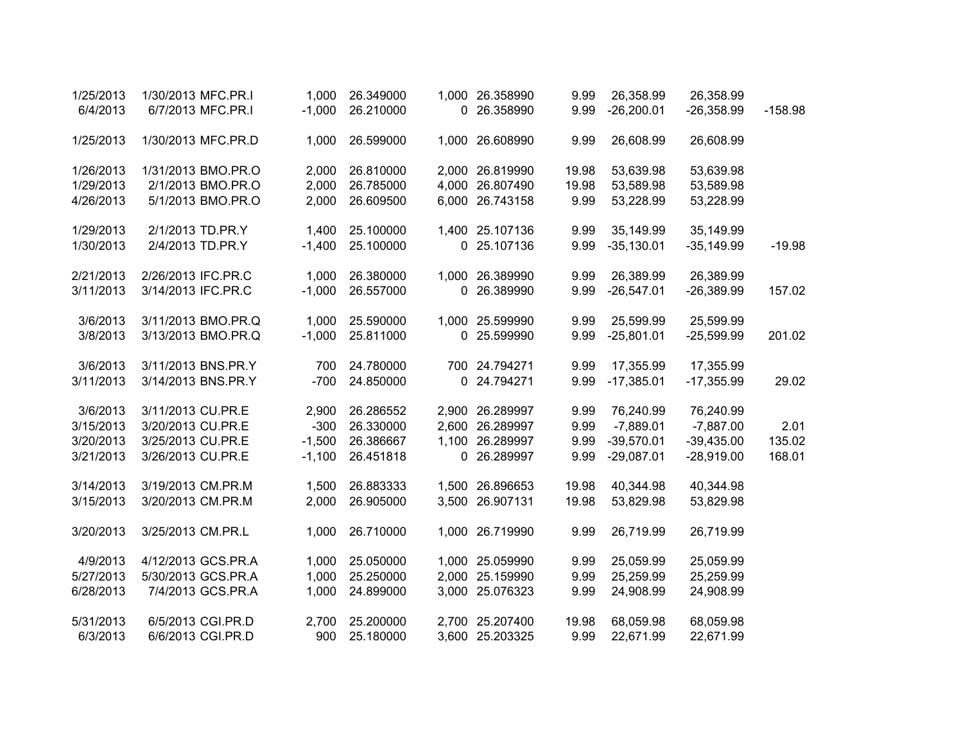| 1/25/2013 | 1/30/2013 MFC.PR.I | 1,000    | 26.349000 | 1,000 26.358990 | 9.99  | 26,358.99    | 26,358.99    |           |
|-----------|--------------------|----------|-----------|-----------------|-------|--------------|--------------|-----------|
| 6/4/2013  | 6/7/2013 MFC.PR.I  | $-1,000$ | 26.210000 | 0 26.358990     | 9.99  | $-26,200.01$ | $-26,358.99$ | $-158.98$ |
| 1/25/2013 | 1/30/2013 MFC.PR.D | 1,000    | 26.599000 | 1,000 26.608990 | 9.99  | 26,608.99    | 26,608.99    |           |
| 1/26/2013 | 1/31/2013 BMO.PR.O | 2,000    | 26.810000 | 2,000 26.819990 | 19.98 | 53,639.98    | 53,639.98    |           |
| 1/29/2013 | 2/1/2013 BMO.PR.O  | 2,000    | 26.785000 | 4,000 26.807490 | 19.98 | 53,589.98    | 53,589.98    |           |
| 4/26/2013 | 5/1/2013 BMO.PR.O  | 2,000    | 26.609500 | 6,000 26.743158 | 9.99  | 53,228.99    | 53,228.99    |           |
| 1/29/2013 | 2/1/2013 TD.PR.Y   | 1,400    | 25.100000 | 1,400 25.107136 | 9.99  | 35,149.99    | 35,149.99    |           |
| 1/30/2013 | 2/4/2013 TD.PR.Y   | $-1,400$ | 25.100000 | 0 25.107136     | 9.99  | $-35,130.01$ | $-35,149.99$ | $-19.98$  |
| 2/21/2013 | 2/26/2013 IFC.PR.C | 1,000    | 26.380000 | 1,000 26.389990 | 9.99  | 26,389.99    | 26,389.99    |           |
| 3/11/2013 | 3/14/2013 IFC.PR.C | $-1,000$ | 26.557000 | 0 26.389990     | 9.99  | $-26,547.01$ | $-26,389.99$ | 157.02    |
| 3/6/2013  | 3/11/2013 BMO.PR.Q | 1,000    | 25.590000 | 1,000 25.599990 | 9.99  | 25,599.99    | 25,599.99    |           |
| 3/8/2013  | 3/13/2013 BMO.PR.Q | $-1,000$ | 25.811000 | 0 25.599990     | 9.99  | $-25,801.01$ | $-25,599.99$ | 201.02    |
| 3/6/2013  | 3/11/2013 BNS.PR.Y | 700      | 24.780000 | 700 24.794271   | 9.99  | 17,355.99    | 17,355.99    |           |
| 3/11/2013 | 3/14/2013 BNS.PR.Y | $-700$   | 24.850000 | 0 24.794271     | 9.99  | $-17,385.01$ | $-17,355.99$ | 29.02     |
| 3/6/2013  | 3/11/2013 CU.PR.E  | 2,900    | 26.286552 | 2,900 26.289997 | 9.99  | 76,240.99    | 76,240.99    |           |
| 3/15/2013 | 3/20/2013 CU.PR.E  | $-300$   | 26.330000 | 2,600 26.289997 | 9.99  | $-7,889.01$  | $-7,887.00$  | 2.01      |
| 3/20/2013 | 3/25/2013 CU.PR.E  | $-1,500$ | 26.386667 | 1,100 26.289997 | 9.99  | $-39,570.01$ | $-39,435.00$ | 135.02    |
| 3/21/2013 | 3/26/2013 CU.PR.E  | $-1,100$ | 26.451818 | 0 26.289997     | 9.99  | $-29,087.01$ | $-28,919.00$ | 168.01    |
| 3/14/2013 | 3/19/2013 CM.PR.M  | 1,500    | 26.883333 | 1,500 26.896653 | 19.98 | 40,344.98    | 40,344.98    |           |
| 3/15/2013 | 3/20/2013 CM.PR.M  | 2,000    | 26.905000 | 3,500 26.907131 | 19.98 | 53,829.98    | 53,829.98    |           |
| 3/20/2013 | 3/25/2013 CM.PR.L  | 1,000    | 26.710000 | 1,000 26.719990 | 9.99  | 26,719.99    | 26,719.99    |           |
| 4/9/2013  | 4/12/2013 GCS.PR.A | 1,000    | 25.050000 | 1,000 25.059990 | 9.99  | 25,059.99    | 25,059.99    |           |
| 5/27/2013 | 5/30/2013 GCS.PR.A | 1,000    | 25.250000 | 2,000 25.159990 | 9.99  | 25,259.99    | 25,259.99    |           |
| 6/28/2013 | 7/4/2013 GCS.PR.A  | 1,000    | 24.899000 | 3,000 25.076323 | 9.99  | 24,908.99    | 24,908.99    |           |
| 5/31/2013 | 6/5/2013 CGI.PR.D  | 2,700    | 25.200000 | 2,700 25.207400 | 19.98 | 68,059.98    | 68,059.98    |           |
| 6/3/2013  | 6/6/2013 CGI.PR.D  | 900      | 25.180000 | 3,600 25.203325 | 9.99  | 22,671.99    | 22,671.99    |           |